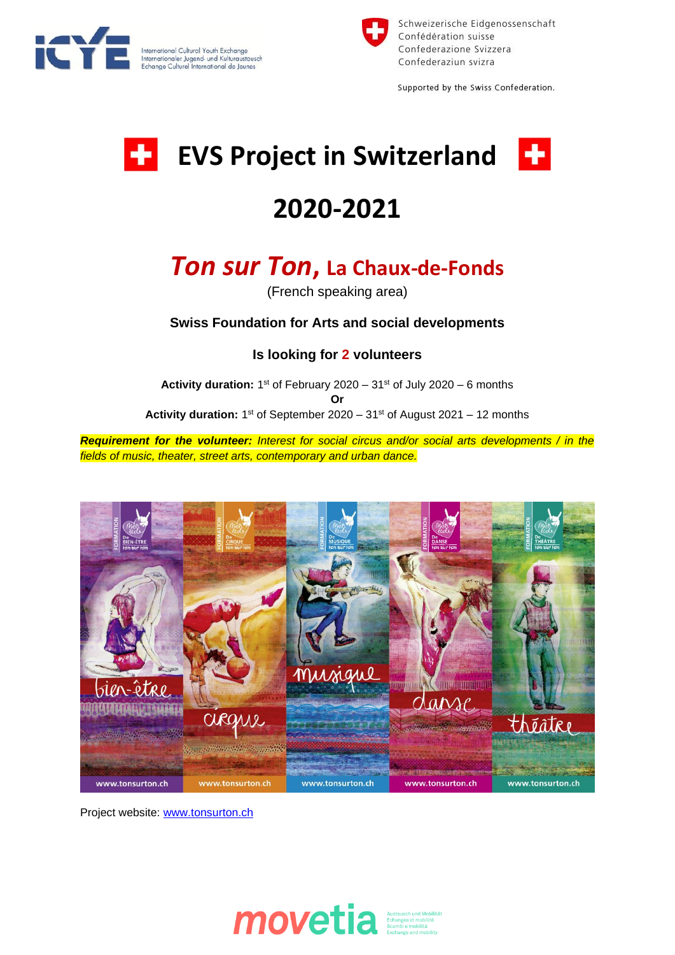



Schweizerische Eidgenossenschaft Confédération suisse Confederazione Svizzera Confederaziun svizra

Supported by the Swiss Confederation.

# **EVS Project in Switzerland**





## **2020-2021**

### *Ton sur Ton***, La Chaux-de-Fonds**

(French speaking area)

#### **Swiss Foundation for Arts and social developments**

**Is looking for 2 volunteers**

Activity duration: 1<sup>st</sup> of February 2020 – 31<sup>st</sup> of July 2020 – 6 months **Or** Activity duration: 1<sup>st</sup> of September 2020 – 31<sup>st</sup> of August 2021 – 12 months

*Requirement for the volunteer: Interest for social circus and/or social arts developments / in the fields of music, theater, street arts, contemporary and urban dance.*



Project website: [www.tonsurton.ch](http://www.tonsurton.ch/)

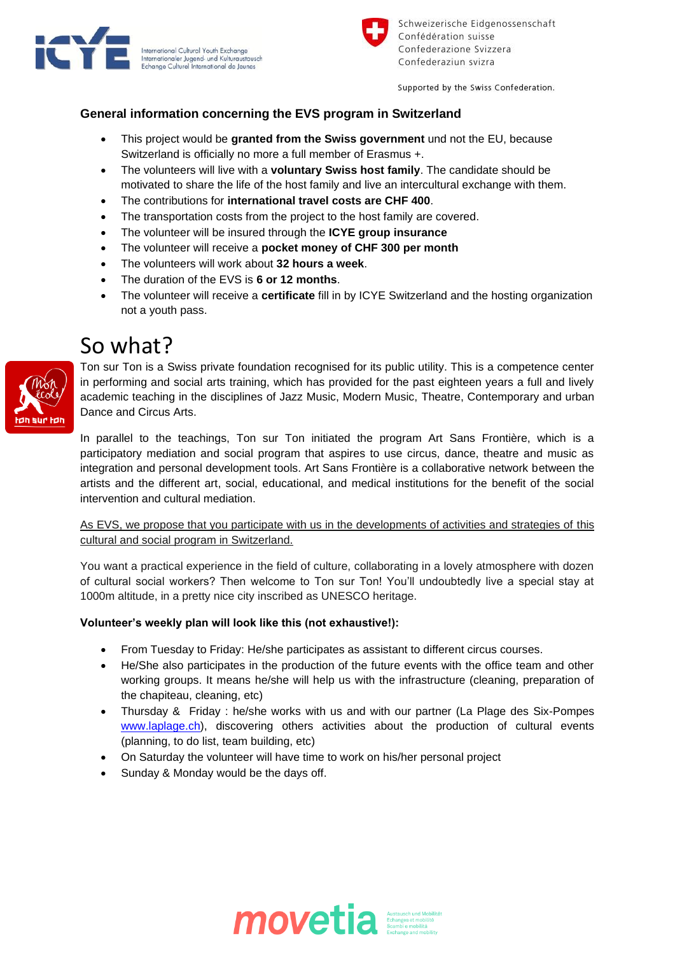



Schweizerische Eidgenossenschaft Confédération suisse Confederazione Svizzera Confederaziun svizra

Supported by the Swiss Confederation.

#### **General information concerning the EVS program in Switzerland**

- This project would be **granted from the Swiss government** und not the EU, because Switzerland is officially no more a full member of Erasmus +.
- The volunteers will live with a **voluntary Swiss host family**. The candidate should be motivated to share the life of the host family and live an intercultural exchange with them.
- The contributions for **international travel costs are CHF 400**.
- The transportation costs from the project to the host family are covered.
- The volunteer will be insured through the **ICYE group insurance**
- The volunteer will receive a **pocket money of CHF 300 per month**
- The volunteers will work about **32 hours a week**.
- The duration of the EVS is **6 or 12 months**.
- The volunteer will receive a **certificate** fill in by ICYE Switzerland and the hosting organization not a youth pass.

### So what?



Ton sur Ton is a Swiss private foundation recognised for its public utility. This is a competence center in performing and social arts training, which has provided for the past eighteen years a full and lively academic teaching in the disciplines of Jazz Music, Modern Music, Theatre, Contemporary and urban Dance and Circus Arts.

In parallel to the teachings, Ton sur Ton initiated the program Art Sans Frontière, which is a participatory mediation and social program that aspires to use circus, dance, theatre and music as integration and personal development tools. Art Sans Frontière is a collaborative network between the artists and the different art, social, educational, and medical institutions for the benefit of the social intervention and cultural mediation.

#### As EVS, we propose that you participate with us in the developments of activities and strategies of this cultural and social program in Switzerland.

You want a practical experience in the field of culture, collaborating in a lovely atmosphere with dozen of cultural social workers? Then welcome to Ton sur Ton! You'll undoubtedly live a special stay at 1000m altitude, in a pretty nice city inscribed as UNESCO heritage.

#### **Volunteer's weekly plan will look like this (not exhaustive!):**

- From Tuesday to Friday: He/she participates as assistant to different circus courses.
- He/She also participates in the production of the future events with the office team and other working groups. It means he/she will help us with the infrastructure (cleaning, preparation of the chapiteau, cleaning, etc)
- Thursday & Friday : he/she works with us and with our partner (La Plage des Six-Pompes [www.laplage.ch\)](http://www.laplage.ch/), discovering others activities about the production of cultural events (planning, to do list, team building, etc)
- On Saturday the volunteer will have time to work on his/her personal project
- Sunday & Monday would be the days off.